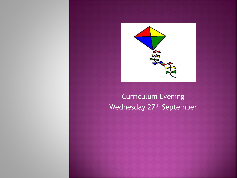

### Curriculum Evening Wednesday 27<sup>th</sup> September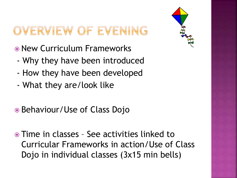### OVERVIEW OF EVENING

- New Curriculum Frameworks
- Why they have been introduced
- How they have been developed
- What they are/look like
- Behaviour/Use of Class Dojo
- Time in classes See activities linked to Curricular Frameworks in action/Use of Class Dojo in individual classes (3x15 min bells)

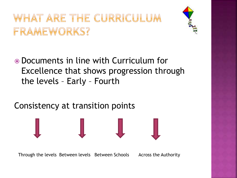### WHAT ARE THE CURRICULUM FRAMEWORKS?



 Documents in line with Curriculum for Excellence that shows progression through the levels – Early – Fourth

### Consistency at transition points

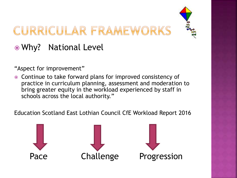## CURRICULAR FRAMEWORKS

### Why? National Level

"Aspect for improvement"

 Continue to take forward plans for improved consistency of practice in curriculum planning, assessment and moderation to bring greater equity in the workload experienced by staff in schools across the local authority."

Education Scotland East Lothian Council CfE Workload Report 2016

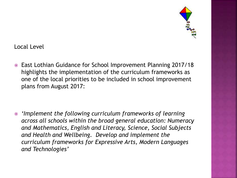

Local Level

 East Lothian Guidance for School Improvement Planning 2017/18 highlights the implementation of the curriculum frameworks as one of the local priorities to be included in school improvement plans from August 2017:

 *'Implement the following curriculum frameworks of learning across all schools within the broad general education: Numeracy and Mathematics, English and Literacy, Science, Social Subjects and Health and Wellbeing. Develop and implement the curriculum frameworks for Expressive Arts, Modern Languages and Technologies'*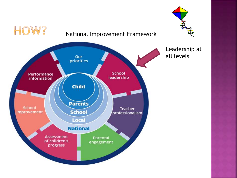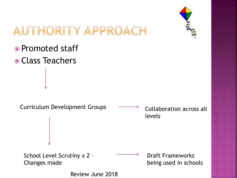

### AUTHORITY APPROACH

- Promoted staff
- Class Teachers

Curriculum Development Groups  $\longrightarrow$  Collaboration across all levels School Level Scrutiny x 2 – Changes made Draft Frameworks being used in schools Review June 2018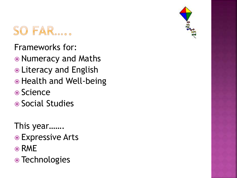

Frameworks for:

- Numeracy and Maths
- **.** Literacy and English
- Health and Well-being
- Science
- Social Studies
- This year.......
- Expressive Arts
- ⊙ RME
- Technologies

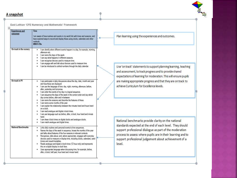#### A snapshot



| <b>Experiences</b> and<br>outcomes | Time<br>I am aware of how routines and events in my world link with times and seasons, and<br>have explored ways to record and display these using clocks, calendars and other<br>methods.<br><b>MNU 0-10a</b>                                                                                                                                                                                                                                                                                                                                                                                                                                                                                                                                                                                                                                            |  |
|------------------------------------|-----------------------------------------------------------------------------------------------------------------------------------------------------------------------------------------------------------------------------------------------------------------------------------------------------------------------------------------------------------------------------------------------------------------------------------------------------------------------------------------------------------------------------------------------------------------------------------------------------------------------------------------------------------------------------------------------------------------------------------------------------------------------------------------------------------------------------------------------------------|--|
| On track in the nursery            | I can identify when different events happen in a day, for example, morning,<br>afternoon etc.<br>I can name the days of the week.<br>I can say what happens in different seasons.<br>I can recognise devices used to measure time.<br>I can engage with and talk about devices used to measure time.<br>I can be introduced to ordinal numbers through the daily calendar.                                                                                                                                                                                                                                                                                                                                                                                                                                                                                |  |
| On track in P1                     | I can participate in daily discussions about the day, date, month and year<br>and how these are displayed.<br>I can use the language of time: day, night, morning, afternoon, before,<br>after, yesterday and tomorrow.<br>I can order the events of my day in a logical sequence.<br>I can sequence the days of the week in the correct order and say which<br>day comes before, after and in-between.<br>I can name the seasons and describe the features of these.<br>I can name some months of the year.<br>I can explain the relationship between the minutes hand and hours hand<br>on a clock.<br>I can read analogue and digital o'clock times.<br>I can use language such as before, after, o'clock, hour hand and minute.<br>hand<br>I can draw o'clock times on digital clocks and analogue clocks.<br>I can match analogue and digital times. |  |
| National Benchmarks                | Links daily routines and personal events to time sequences.<br>٠<br>Names the days of the week in sequence, knows the months of the year<br>and talks about features of the four seasons in relevant contexts.<br>Recognises, talks about, and, where appropriate, engages with everyday<br>devices used to measure or display time, including clocks, calendars, sand<br>timers and visual timetables.<br>Reads analogue and digital o'clock times (12 hour only) and represents<br>this on a digital display or clock face.<br>Uses appropriate language when discussing time, for example, before,<br>after, o'clock, half past, hour hand and minute hand.                                                                                                                                                                                            |  |

an learning using the experiences and outcomes.

60

se 'on track' statements to support planning learning, teaching d assessment, to track progress and to provide shared pectations of learning for moderation. This will ensure pupils e making appropriate progress and that they are on track to hieve Curriculum for Excellence levels.

ational benchmarks provide clarity on the national andards expected at the end of each level. They should pport professional dialogue as part of the moderation ocess to assess where pupils are in their learning and to pport professional judgement about achievement of a vel.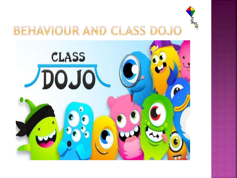

### BEHAVIOUR AND CLASS DOJO

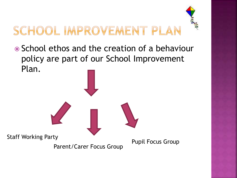# SCHOOL IMPROVEMENT PLAN

• School ethos and the creation of a behaviour policy are part of our School Improvement Plan.

Staff Working Party

Parent/Carer Focus Group

Pupil Focus Group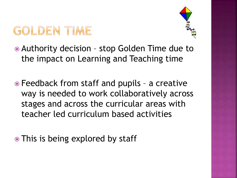## GOLDEN TIME



- Authority decision stop Golden Time due to the impact on Learning and Teaching time
- Feedback from staff and pupils a creative way is needed to work collaboratively across stages and across the curricular areas with teacher led curriculum based activities
- This is being explored by staff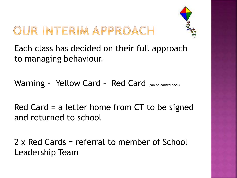### OUR INTERIM APPROACH



Each class has decided on their full approach to managing behaviour.

Warning - Yellow Card - Red Card (can be earned back)

Red Card = a letter home from CT to be signed and returned to school

2 x Red Cards = referral to member of School Leadership Team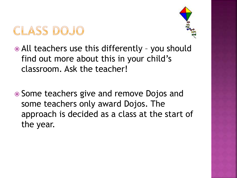



- All teachers use this differently you should find out more about this in your child's classroom. Ask the teacher!
- Some teachers give and remove Dojos and some teachers only award Dojos. The approach is decided as a class at the start of the year.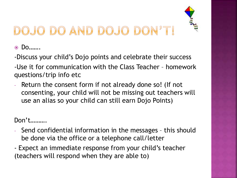

## OJO DO AND DOJO DON'T!

Do…….

-Discuss your child's Dojo points and celebrate their success

-Use it for communication with the Class Teacher – homework questions/trip info etc

- Return the consent form if not already done so! (If not consenting, your child will not be missing out teachers will use an alias so your child can still earn Dojo Points)

Don't……….

- Send confidential information in the messages this should be done via the office or a telephone call/letter
- Expect an immediate response from your child's teacher (teachers will respond when they are able to)